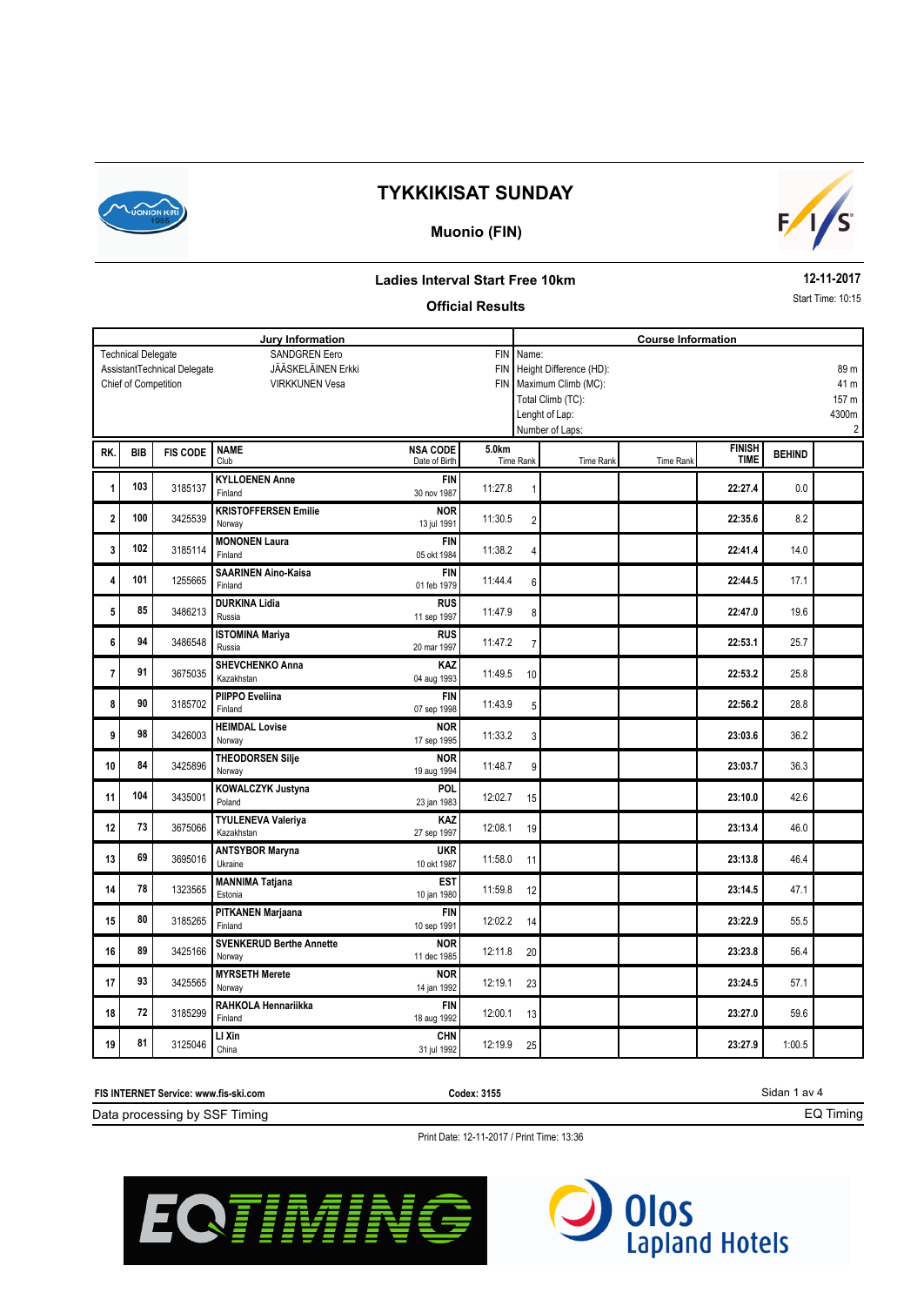

### **Muonio (FIN)**



#### **Ladies Interval Start Free 10km**

#### **Official Results**

**12-11-2017** Start Time: 10:15

| Jury Information                                         |                      |                             |                                       |                                               |         |                | <b>Course Information</b> |           |               |               |                         |  |
|----------------------------------------------------------|----------------------|-----------------------------|---------------------------------------|-----------------------------------------------|---------|----------------|---------------------------|-----------|---------------|---------------|-------------------------|--|
| SANDGREN Eero<br><b>FIN</b><br><b>Technical Delegate</b> |                      |                             |                                       |                                               |         |                | Name:                     |           |               |               |                         |  |
|                                                          |                      | AssistantTechnical Delegate | JÄÄSKELÄINEN Erkki                    | Height Difference (HD):<br><b>FIN</b><br>89 m |         |                |                           |           |               |               |                         |  |
|                                                          | Chief of Competition |                             | <b>VIRKKUNEN Vesa</b>                 | FIN   Maximum Climb (MC):<br>41 m             |         |                |                           |           |               |               |                         |  |
|                                                          |                      |                             |                                       |                                               |         |                | Total Climb (TC):         |           |               |               | 157 m                   |  |
|                                                          |                      |                             |                                       |                                               |         |                | Lenght of Lap:            |           |               |               | 4300m                   |  |
|                                                          |                      |                             |                                       |                                               |         |                | Number of Laps:           |           |               |               | $\overline{\mathbf{c}}$ |  |
| RK.                                                      | <b>BIB</b>           | <b>FIS CODE</b>             | <b>NAME</b>                           | <b>NSA CODE</b>                               | 5.0km   |                |                           |           | <b>FINISH</b> | <b>BEHIND</b> |                         |  |
|                                                          |                      |                             | Club                                  | Date of Birth                                 |         | Time Rank      | Time Rank                 | Time Rank | <b>TIME</b>   |               |                         |  |
| 1                                                        | 103                  | 3185137                     | <b>KYLLOENEN Anne</b>                 | <b>FIN</b>                                    | 11:27.8 | 1              |                           |           | 22:27.4       | 0.0           |                         |  |
|                                                          |                      |                             | Finland                               | 30 nov 1987                                   |         |                |                           |           |               |               |                         |  |
| $\overline{\mathbf{2}}$                                  | 100                  | 3425539                     | <b>KRISTOFFERSEN Emilie</b>           | <b>NOR</b>                                    | 11:30.5 | $\overline{2}$ |                           |           | 22:35.6       | 8.2           |                         |  |
|                                                          |                      |                             | Norway                                | 13 jul 1991                                   |         |                |                           |           |               |               |                         |  |
| 3                                                        | 102                  | 3185114                     | <b>MONONEN Laura</b>                  | <b>FIN</b>                                    | 11:38.2 | 4              |                           |           | 22:41.4       | 14.0          |                         |  |
|                                                          |                      |                             | Finland                               | 05 okt 1984                                   |         |                |                           |           |               |               |                         |  |
| 4                                                        | 101                  | 1255665                     | <b>SAARINEN Aino-Kaisa</b><br>Finland | <b>FIN</b><br>01 feb 1979                     | 11:44.4 | 6              |                           |           | 22:44.5       | 17.1          |                         |  |
|                                                          |                      |                             | <b>DURKINA Lidia</b>                  | <b>RUS</b>                                    |         |                |                           |           |               |               |                         |  |
| 5                                                        | 85                   | 3486213                     | Russia                                | 11 sep 1997                                   | 11:47.9 | 8              |                           |           | 22:47.0       | 19.6          |                         |  |
|                                                          |                      |                             | <b>ISTOMINA Mariya</b>                | <b>RUS</b>                                    |         |                |                           |           |               |               |                         |  |
| 6                                                        | 94                   | 3486548                     | Russia                                | 20 mar 1997                                   | 11:47.2 | $\overline{7}$ |                           |           | 22:53.1       | 25.7          |                         |  |
|                                                          |                      |                             | <b>SHEVCHENKO Anna</b>                | KAZ                                           |         |                |                           |           |               |               |                         |  |
| 7                                                        | 91                   | 3675035                     | Kazakhstan                            | 04 aug 1993                                   | 11:49.5 | 10             |                           |           | 22:53.2       | 25.8          |                         |  |
| 8                                                        | 90                   | 3185702                     | PIIPPO Eveliina                       | <b>FIN</b>                                    | 11:43.9 |                |                           |           | 22:56.2       | 28.8          |                         |  |
|                                                          |                      |                             | Finland                               | 07 sep 1998                                   |         | 5              |                           |           |               |               |                         |  |
| 9                                                        | 98                   | 3426003                     | <b>HEIMDAL Lovise</b>                 | <b>NOR</b>                                    | 11:33.2 | 3              |                           |           | 23:03.6       | 36.2          |                         |  |
|                                                          |                      |                             | Norway                                | 17 sep 1995                                   |         |                |                           |           |               |               |                         |  |
| 10                                                       | 84                   | 3425896                     | <b>THEODORSEN Silje</b>               | <b>NOR</b>                                    | 11:48.7 | 9              |                           |           | 23:03.7       | 36.3          |                         |  |
|                                                          |                      |                             | Norway                                | 19 aug 1994                                   |         |                |                           |           |               |               |                         |  |
| 11                                                       | 104                  | 3435001                     | <b>KOWALCZYK Justyna</b><br>Poland    | POL<br>23 jan 1983                            | 12:02.7 | 15             |                           |           | 23:10.0       | 42.6          |                         |  |
|                                                          |                      |                             | <b>TYULENEVA Valeriya</b>             | KAZ                                           |         |                |                           |           |               |               |                         |  |
| 12                                                       | 73                   | 3675066                     | Kazakhstan                            | 27 sep 1997                                   | 12:08.1 | 19             |                           |           | 23:13.4       | 46.0          |                         |  |
|                                                          |                      |                             | <b>ANTSYBOR Maryna</b>                | <b>UKR</b>                                    |         |                |                           |           |               |               |                         |  |
| 13                                                       | 69                   | 3695016                     | Ukraine                               | 10 okt 1987                                   | 11:58.0 | 11             |                           |           | 23:13.8       | 46.4          |                         |  |
|                                                          |                      |                             | <b>MANNIMA Tatjana</b>                | <b>EST</b>                                    |         |                |                           |           |               |               |                         |  |
| 14                                                       | 78                   | 1323565                     | Estonia                               | 10 jan 1980                                   | 11:59.8 | 12             |                           |           | 23:14.5       | 47.1          |                         |  |
|                                                          |                      |                             | PITKANEN Marjaana                     | <b>FIN</b>                                    |         |                |                           |           |               |               |                         |  |
| 15                                                       | 80                   | 3185265                     | Finland                               | 10 sep 1991                                   | 12:02.2 | 14             |                           |           | 23:22.9       | 55.5          |                         |  |
| 16                                                       | 89                   | 3425166                     | <b>SVENKERUD Berthe Annette</b>       | <b>NOR</b>                                    |         |                |                           |           | 23:23.8       | 56.4          |                         |  |
|                                                          |                      |                             | Norway                                | 11 dec 1985                                   | 12:11.8 | 20             |                           |           |               |               |                         |  |
| 17                                                       | 93                   | 3425565                     | <b>MYRSETH Merete</b>                 | <b>NOR</b>                                    | 12:19.1 | 23             |                           |           | 23:24.5       | 57.1          |                         |  |
|                                                          |                      |                             | Norway                                | 14 jan 1992                                   |         |                |                           |           |               |               |                         |  |
| 18                                                       | 72                   | 3185299                     | RAHKOLA Hennariikka                   | <b>FIN</b>                                    | 12:00.1 | 13             |                           |           | 23:27.0       | 59.6          |                         |  |
|                                                          |                      |                             | Finland                               | 18 aug 1992                                   |         |                |                           |           |               |               |                         |  |
| 19                                                       | 81                   | 3125046                     | LI Xin<br>China                       | <b>CHN</b><br>31 jul 1992                     | 12:19.9 | 25             |                           |           | 23:27.9       | 1:00.5        |                         |  |
|                                                          |                      |                             |                                       |                                               |         |                |                           |           |               |               |                         |  |

Sidan 1 av 4 Data processing by SSF Timing **FIS INTERNET Service: www.fis-ski.com** EQ Timing **Codex: 3155**

Print Date: 12-11-2017 / Print Time: 13:36



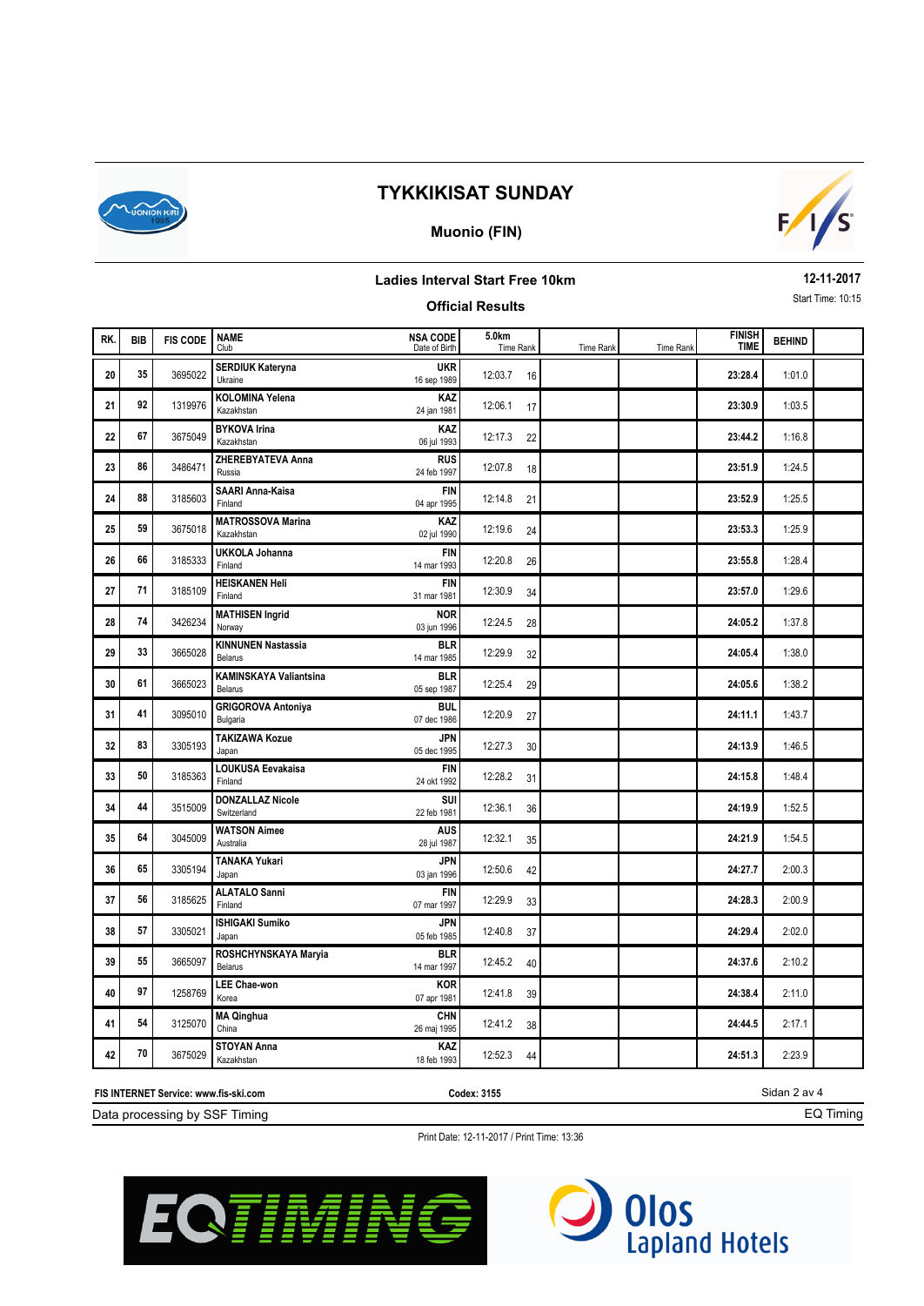

### **Muonio (FIN)**



### **Ladies Interval Start Free 10km**

### **Official Results**

**12-11-2017** Start Time: 10:15

| RK. | <b>BIB</b> | <b>FIS CODE</b> | <b>NAME</b><br>Club                      | <b>NSA CODE</b><br>Date of Birth | 5.0km<br>Time Rank | Time Rank | Time Rank | <b>FINISH</b><br><b>TIME</b> | <b>BEHIND</b> |  |
|-----|------------|-----------------|------------------------------------------|----------------------------------|--------------------|-----------|-----------|------------------------------|---------------|--|
| 20  | 35         | 3695022         | <b>SERDIUK Kateryna</b><br>Ukraine       | <b>UKR</b><br>16 sep 1989        | 12:03.7<br>16      |           |           | 23:28.4                      | 1:01.0        |  |
| 21  | 92         | 1319976         | <b>KOLOMINA Yelena</b><br>Kazakhstan     | KAZ<br>24 jan 1981               | 12:06.1<br>17      |           |           | 23:30.9                      | 1:03.5        |  |
| 22  | 67         | 3675049         | <b>BYKOVA Irina</b><br>Kazakhstan        | KAZ<br>06 jul 1993               | 12:17.3<br>22      |           |           | 23:44.2                      | 1:16.8        |  |
| 23  | 86         | 3486471         | <b>ZHEREBYATEVA Anna</b><br>Russia       | <b>RUS</b><br>24 feb 1997        | 12:07.8<br>18      |           |           | 23:51.9                      | 1:24.5        |  |
| 24  | 88         | 3185603         | <b>SAARI Anna-Kaisa</b><br>Finland       | <b>FIN</b><br>04 apr 1995        | 12:14.8<br>21      |           |           | 23:52.9                      | 1:25.5        |  |
| 25  | 59         | 3675018         | <b>MATROSSOVA Marina</b><br>Kazakhstan   | KAZ<br>02 jul 1990               | 12:19.6<br>24      |           |           | 23:53.3                      | 1:25.9        |  |
| 26  | 66         | 3185333         | <b>UKKOLA Johanna</b><br>Finland         | <b>FIN</b><br>14 mar 1993        | 12:20.8<br>26      |           |           | 23:55.8                      | 1:28.4        |  |
| 27  | 71         | 3185109         | <b>HEISKANEN Heli</b><br>Finland         | <b>FIN</b><br>31 mar 1981        | 12:30.9<br>34      |           |           | 23:57.0                      | 1:29.6        |  |
| 28  | 74         | 3426234         | <b>MATHISEN Ingrid</b><br>Norway         | <b>NOR</b><br>03 jun 1996        | 12:24.5<br>28      |           |           | 24:05.2                      | 1:37.8        |  |
| 29  | 33         | 3665028         | <b>KINNUNEN Nastassia</b><br>Belarus     | <b>BLR</b><br>14 mar 1985        | 12:29.9<br>32      |           |           | 24:05.4                      | 1:38.0        |  |
| 30  | 61         | 3665023         | <b>KAMINSKAYA Valiantsina</b><br>Belarus | <b>BLR</b><br>05 sep 1987        | 12:25.4<br>29      |           |           | 24:05.6                      | 1:38.2        |  |
| 31  | 41         | 3095010         | <b>GRIGOROVA Antoniya</b><br>Bulgaria    | <b>BUL</b><br>07 dec 1986        | 12:20.9<br>27      |           |           | 24:11.1                      | 1:43.7        |  |
| 32  | 83         | 3305193         | <b>TAKIZAWA Kozue</b><br>Japan           | <b>JPN</b><br>05 dec 1995        | 12:27.3<br>30      |           |           | 24:13.9                      | 1:46.5        |  |
| 33  | 50         | 3185363         | LOUKUSA Eevakaisa<br>Finland             | <b>FIN</b><br>24 okt 1992        | 12:28.2<br>31      |           |           | 24:15.8                      | 1:48.4        |  |
| 34  | 44         | 3515009         | <b>DONZALLAZ Nicole</b><br>Switzerland   | SUI<br>22 feb 1981               | 12:36.1<br>36      |           |           | 24:19.9                      | 1:52.5        |  |
| 35  | 64         | 3045009         | <b>WATSON Aimee</b><br>Australia         | <b>AUS</b><br>28 jul 1987        | 12:32.1<br>35      |           |           | 24:21.9                      | 1:54.5        |  |
| 36  | 65         | 3305194         | <b>TANAKA Yukari</b><br>Japan            | JPN<br>03 jan 1996               | 12:50.6<br>42      |           |           | 24:27.7                      | 2:00.3        |  |
| 37  | 56         | 3185625         | <b>ALATALO Sanni</b><br>Finland          | <b>FIN</b><br>07 mar 1997        | 12:29.9<br>33      |           |           | 24:28.3                      | 2:00.9        |  |
| 38  | 57         | 3305021         | <b>ISHIGAKI Sumiko</b><br>Japan          | <b>JPN</b><br>05 feb 1985        | 12:40.8<br>37      |           |           | 24:29.4                      | 2:02.0        |  |
| 39  | 55         | 3665097         | ROSHCHYNSKAYA Maryia<br>Belarus          | <b>BLR</b><br>14 mar 1997        | 12:45.2<br>40      |           |           | 24:37.6                      | 2:10.2        |  |
| 40  | 97         | 1258769         | <b>LEE Chae-won</b><br>Korea             | <b>KOR</b><br>07 apr 1981        | 12:41.8<br>39      |           |           | 24:38.4                      | 2:11.0        |  |
| 41  | 54         | 3125070         | <b>MA Qinghua</b><br>China               | <b>CHN</b><br>26 maj 1995        | 12:41.2<br>38      |           |           | 24:44.5                      | 2:17.1        |  |
| 42  | 70         | 3675029         | <b>STOYAN Anna</b><br>Kazakhstan         | <b>KAZ</b><br>18 feb 1993        | 12:52.3<br>44      |           |           | 24:51.3                      | 2:23.9        |  |

Data processing by SSF Timing **FIS INTERNET Service: www.fis-ski.com**

**Codex: 3155**

Sidan 2 av 4 EQ Timing

Print Date: 12-11-2017 / Print Time: 13:36



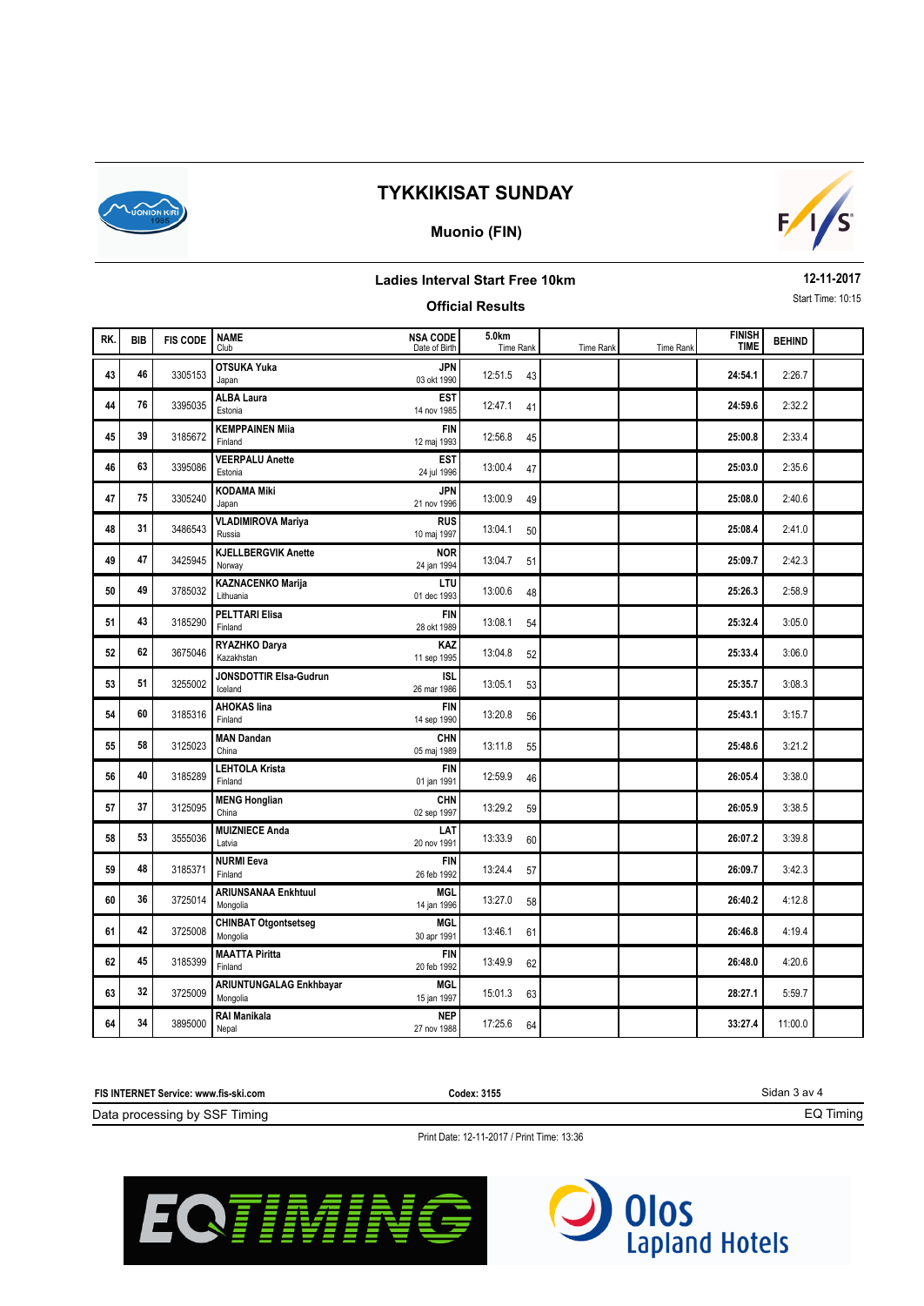

### **Muonio (FIN)**



### **Ladies Interval Start Free 10km**

**12-11-2017** Start Time: 10:15

|     |            |                 |                                         |                                  | <b>Official Results</b> |           |                  |                              |               | Start Time: 10:15 |
|-----|------------|-----------------|-----------------------------------------|----------------------------------|-------------------------|-----------|------------------|------------------------------|---------------|-------------------|
| RK. | <b>BIB</b> | <b>FIS CODE</b> | <b>NAME</b><br>Club                     | <b>NSA CODE</b><br>Date of Birth | 5.0km<br>Time Rank      | Time Rank | <b>Time Rank</b> | <b>FINISH</b><br><b>TIME</b> | <b>BEHIND</b> |                   |
| 43  | 46         | 3305153         | <b>OTSUKA Yuka</b><br>Japan             | <b>JPN</b><br>03 okt 1990        | 12:51.5<br>43           |           |                  | 24:54.1                      | 2:26.7        |                   |
| 44  | 76         | 3395035         | <b>ALBA Laura</b><br>Estonia            | <b>EST</b><br>14 nov 1985        | 12:47.1<br>41           |           |                  | 24:59.6                      | 2:32.2        |                   |
| 45  | 39         | 3185672         | <b>KEMPPAINEN Mija</b><br>Finland       | <b>FIN</b><br>12 maj 1993        | 12:56.8<br>45           |           |                  | 25:00.8                      | 2:33.4        |                   |
| 46  | 63         | 3395086         | <b>VEERPALU Anette</b><br>Estonia       | <b>EST</b><br>24 jul 1996        | 13:00.4<br>47           |           |                  | 25:03.0                      | 2:35.6        |                   |
| 47  | 75         | 3305240         | <b>KODAMA Miki</b><br>Japan             | <b>JPN</b><br>21 nov 1996        | 13:00.9<br>49           |           |                  | 25:08.0                      | 2:40.6        |                   |
| 48  | 31         | 3486543         | <b>VLADIMIROVA Mariya</b><br>Russia     | <b>RUS</b><br>10 maj 1997        | 13:04.1<br>50           |           |                  | 25:08.4                      | 2:41.0        |                   |
| 49  | 47         | 3425945         | <b>KJELLBERGVIK Anette</b><br>Norway    | <b>NOR</b><br>24 jan 1994        | 13:04.7<br>51           |           |                  | 25:09.7                      | 2:42.3        |                   |
| 50  | 49         | 3785032         | <b>KAZNACENKO Marija</b><br>Lithuania   | LTU<br>01 dec 1993               | 13:00.6<br>48           |           |                  | 25:26.3                      | 2:58.9        |                   |
| 51  | 43         | 3185290         | <b>PELTTARI Elisa</b><br>Finland        | <b>FIN</b><br>28 okt 1989        | 13:08.1<br>54           |           |                  | 25:32.4                      | 3:05.0        |                   |
| 52  | 62         | 3675046         | RYAZHKO Darya<br>Kazakhstan             | KAZ<br>11 sep 1995               | 13:04.8<br>52           |           |                  | 25:33.4                      | 3:06.0        |                   |
| 53  | 51         | 3255002         | JONSDOTTIR Elsa-Gudrun<br>Iceland       | <b>ISL</b><br>26 mar 1986        | 13:05.1<br>53           |           |                  | 25:35.7                      | 3:08.3        |                   |
| 54  | 60         | 3185316         | <b>AHOKAS lina</b><br>Finland           | <b>FIN</b><br>14 sep 1990        | 13:20.8<br>56           |           |                  | 25:43.1                      | 3:15.7        |                   |
| 55  | 58         | 3125023         | <b>MAN Dandan</b><br>China              | <b>CHN</b><br>05 maj 1989        | 13:11.8<br>55           |           |                  | 25:48.6                      | 3:21.2        |                   |
| 56  | 40         | 3185289         | <b>LEHTOLA Krista</b><br>Finland        | <b>FIN</b><br>01 jan 1991        | 12:59.9<br>46           |           |                  | 26:05.4                      | 3:38.0        |                   |
| 57  | 37         | 3125095         | <b>MENG Honglian</b><br>China           | <b>CHN</b><br>02 sep 1997        | 13:29.2<br>59           |           |                  | 26:05.9                      | 3:38.5        |                   |
| 58  | 53         | 3555036         | <b>MUIZNIECE Anda</b><br>Latvia         | LAT<br>20 nov 1991               | 13:33.9<br>60           |           |                  | 26:07.2                      | 3:39.8        |                   |
| 59  | 48         | 3185371         | <b>NURMI Eeva</b><br>Finland            | <b>FIN</b><br>26 feb 1992        | 13:24.4<br>57           |           |                  | 26:09.7                      | 3:42.3        |                   |
| 60  | 36         | 3725014         | <b>ARIUNSANAA Enkhtuul</b><br>Mongolia  | <b>MGL</b><br>14 jan 1996        | 13:27.0<br>58           |           |                  | 26:40.2                      | 4:12.8        |                   |
| 61  | 42         | 3725008         | <b>CHINBAT Otgontsetseg</b><br>Mongolia | <b>MGL</b><br>30 apr 1991        | 13:46.1<br>61           |           |                  | 26:46.8                      | 4:19.4        |                   |
| 62  | 45         | 3185399         | <b>MAATTA Piritta</b><br>Finland        | <b>FIN</b><br>20 feb 1992        | 13:49.9<br>62           |           |                  | 26:48.0                      | 4:20.6        |                   |
| 63  | 32         | 3725009         | ARIUNTUNGALAG Enkhbayar<br>Mongolia     | <b>MGL</b><br>15 jan 1997        | 15:01.3<br>63           |           |                  | 28:27.1                      | 5:59.7        |                   |
| 64  | 34         | 3895000         | <b>RAI Manikala</b><br>Nepal            | <b>NEP</b><br>27 nov 1988        | 17:25.6<br>64           |           |                  | 33:27.4                      | 11:00.0       |                   |

**FIS INTERNET Service: www.fis-ski.com**

**Codex: 3155**

Sidan 3 av 4

EQ Timing

Data processing by SSF Timing

Print Date: 12-11-2017 / Print Time: 13:36